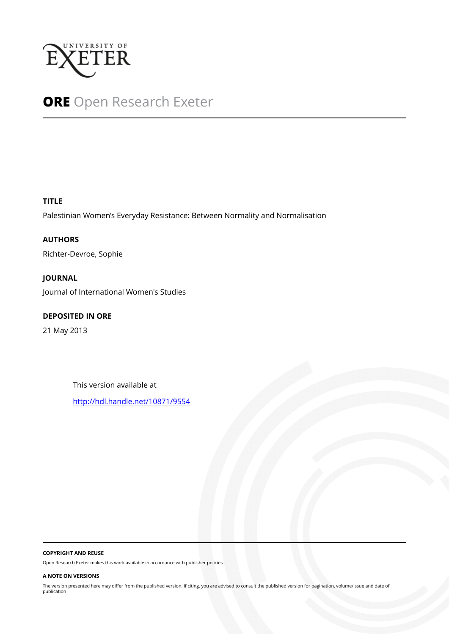

# **ORE** Open Research Exeter

# **TITLE**

Palestinian Women's Everyday Resistance: Between Normality and Normalisation

**AUTHORS** Richter-Devroe, Sophie

**JOURNAL** Journal of International Women's Studies

# **DEPOSITED IN ORE**

21 May 2013

This version available at

<http://hdl.handle.net/10871/9554>

#### **COPYRIGHT AND REUSE**

Open Research Exeter makes this work available in accordance with publisher policies.

#### **A NOTE ON VERSIONS**

The version presented here may differ from the published version. If citing, you are advised to consult the published version for pagination, volume/issue and date of publication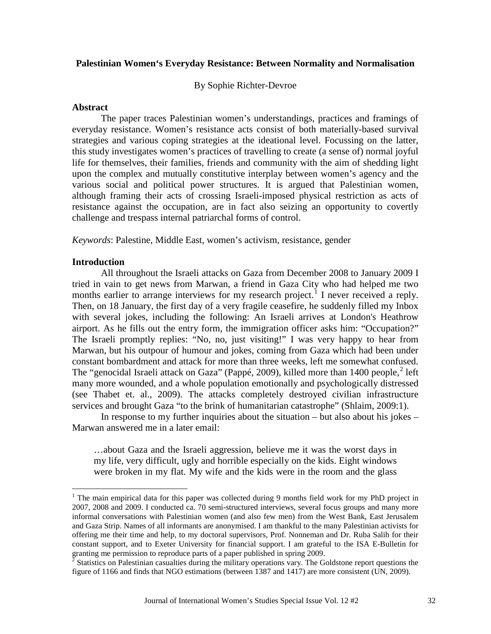# **Palestinian Women's Everyday Resistance: Between Normality and Normalisation**

By Sophie Richter-Devroe

#### **Abstract**

The paper traces Palestinian women's understandings, practices and framings of everyday resistance. Women's resistance acts consist of both materially-based survival strategies and various coping strategies at the ideational level. Focussing on the latter, this study investigates women's practices of travelling to create (a sense of) normal joyful life for themselves, their families, friends and community with the aim of shedding light upon the complex and mutually constitutive interplay between women's agency and the various social and political power structures. It is argued that Palestinian women, although framing their acts of crossing Israeli-imposed physical restriction as acts of resistance against the occupation, are in fact also seizing an opportunity to covertly challenge and trespass internal patriarchal forms of control.

*Keywords*: Palestine, Middle East, women's activism, resistance, gender

## **Introduction**

All throughout the Israeli attacks on Gaza from December 2008 to January 2009 I tried in vain to get news from Marwan, a friend in Gaza City who had helped me two months earlier to arrange interviews for my research project.<sup>[1](#page-2-0)</sup> I never received a reply. Then, on 18 January, the first day of a very fragile ceasefire, he suddenly filled my Inbox with several jokes, including the following: An Israeli arrives at London's Heathrow airport. As he fills out the entry form, the immigration officer asks him: "Occupation?" The Israeli promptly replies: "No, no, just visiting!" I was very happy to hear from Marwan, but his outpour of humour and jokes, coming from Gaza which had been under constant bombardment and attack for more than three weeks, left me somewhat confused. The "genocidal Israeli attack on Gaza" (Pappé, [2](#page-1-0)009), killed more than 1400 people,<sup>2</sup> left many more wounded, and a whole population emotionally and psychologically distressed (see Thabet et. al., 2009). The attacks completely destroyed civilian infrastructure services and brought Gaza "to the brink of humanitarian catastrophe" (Shlaim, 2009:1).

In response to my further inquiries about the situation – but also about his jokes – Marwan answered me in a later email:

…about Gaza and the Israeli aggression, believe me it was the worst days in my life, very difficult, ugly and horrible especially on the kids. Eight windows were broken in my flat. My wife and the kids were in the room and the glass

 $1$  The main empirical data for this paper was collected during 9 months field work for my PhD project in 2007, 2008 and 2009. I conducted ca. 70 semi-structured interviews, several focus groups and many more informal conversations with Palestinian women (and also few men) from the West Bank, East Jerusalem and Gaza Strip. Names of all informants are anonymised. I am thankful to the many Palestinian activists for offering me their time and help, to my doctoral supervisors, Prof. Nonneman and Dr. Ruba Salih for their constant support, and to Exeter University for financial support. I am grateful to the ISA E-Bulletin for granting me permission to reproduce parts of a paper published in spring 2009.

<span id="page-1-1"></span><span id="page-1-0"></span> $2^2$  Statistics on Palestinian casualties during the military operations vary. The Goldstone report questions the figure of 1166 and finds that NGO estimations (between 1387 and 1417) are more consistent (UN, 2009).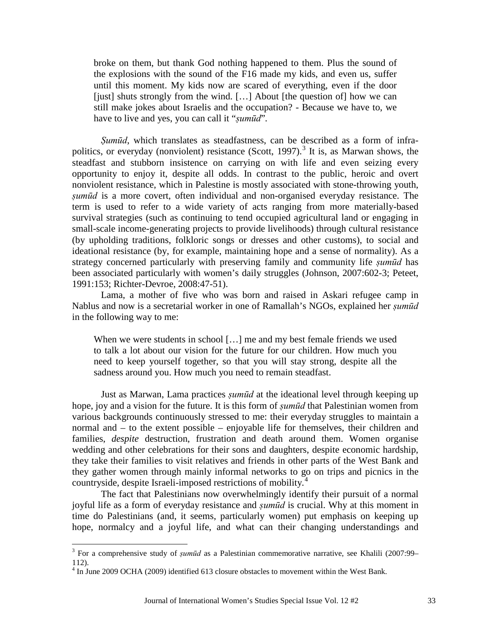broke on them, but thank God nothing happened to them. Plus the sound of the explosions with the sound of the F16 made my kids, and even us, suffer until this moment. My kids now are scared of everything, even if the door [just] shuts strongly from the wind. [...] About [the question of] how we can still make jokes about Israelis and the occupation? - Because we have to, we have to live and yes, you can call it "*ṣumūd*"*.*

*Ṣumūd*, which translates as steadfastness, can be described as a form of infra-politics, or everyday (nonviolent) resistance (Scott, 1997).<sup>[3](#page-1-1)</sup> It is, as Marwan shows, the steadfast and stubborn insistence on carrying on with life and even seizing every opportunity to enjoy it, despite all odds. In contrast to the public, heroic and overt nonviolent resistance, which in Palestine is mostly associated with stone-throwing youth, *ṣumūd* is a more covert, often individual and non-organised everyday resistance. The term is used to refer to a wide variety of acts ranging from more materially-based survival strategies (such as continuing to tend occupied agricultural land or engaging in small-scale income-generating projects to provide livelihoods) through cultural resistance (by upholding traditions, folkloric songs or dresses and other customs), to social and ideational resistance (by, for example, maintaining hope and a sense of normality). As a strategy concerned particularly with preserving family and community life *ṣumūd* has been associated particularly with women's daily struggles (Johnson, 2007:602-3; Peteet, 1991:153; Richter-Devroe, 2008:47-51).

Lama, a mother of five who was born and raised in Askari refugee camp in Nablus and now is a secretarial worker in one of Ramallah's NGOs, explained her *ṣumūd*  in the following way to me:

When we were students in school [...] me and my best female friends we used to talk a lot about our vision for the future for our children. How much you need to keep yourself together, so that you will stay strong, despite all the sadness around you. How much you need to remain steadfast.

Just as Marwan, Lama practices *ṣumūd* at the ideational level through keeping up hope, joy and a vision for the future. It is this form of *ṣumūd* that Palestinian women from various backgrounds continuously stressed to me: their everyday struggles to maintain a normal and – to the extent possible – enjoyable life for themselves, their children and families, *despite* destruction, frustration and death around them. Women organise wedding and other celebrations for their sons and daughters, despite economic hardship, they take their families to visit relatives and friends in other parts of the West Bank and they gather women through mainly informal networks to go on trips and picnics in the countryside, despite Israeli-imposed restrictions of mobility.<sup>[4](#page-2-1)</sup>

<span id="page-2-2"></span><span id="page-2-0"></span>The fact that Palestinians now overwhelmingly identify their pursuit of a normal joyful life as a form of everyday resistance and *ṣumūd* is crucial. Why at this moment in time do Palestinians (and, it seems, particularly women) put emphasis on keeping up hope, normalcy and a joyful life, and what can their changing understandings and

<sup>&</sup>lt;sup>3</sup> For a comprehensive study of *sumūd* as a Palestinian commemorative narrative, see Khalili (2007:99– 112).

<span id="page-2-1"></span><sup>4</sup> In June 2009 OCHA (2009) identified 613 closure obstacles to movement within the West Bank.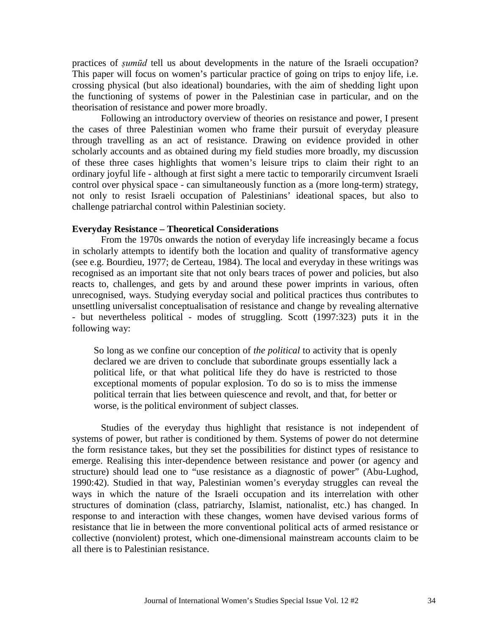practices of *ṣumūd* tell us about developments in the nature of the Israeli occupation? This paper will focus on women's particular practice of going on trips to enjoy life, i.e. crossing physical (but also ideational) boundaries, with the aim of shedding light upon the functioning of systems of power in the Palestinian case in particular, and on the theorisation of resistance and power more broadly.

Following an introductory overview of theories on resistance and power, I present the cases of three Palestinian women who frame their pursuit of everyday pleasure through travelling as an act of resistance. Drawing on evidence provided in other scholarly accounts and as obtained during my field studies more broadly, my discussion of these three cases highlights that women's leisure trips to claim their right to an ordinary joyful life - although at first sight a mere tactic to temporarily circumvent Israeli control over physical space - can simultaneously function as a (more long-term) strategy, not only to resist Israeli occupation of Palestinians' ideational spaces, but also to challenge patriarchal control within Palestinian society.

#### **Everyday Resistance – Theoretical Considerations**

From the 1970s onwards the notion of everyday life increasingly became a focus in scholarly attempts to identify both the location and quality of transformative agency (see e.g. Bourdieu, 1977; de Certeau, 1984). The local and everyday in these writings was recognised as an important site that not only bears traces of power and policies, but also reacts to, challenges, and gets by and around these power imprints in various, often unrecognised, ways. Studying everyday social and political practices thus contributes to unsettling universalist conceptualisation of resistance and change by revealing alternative - but nevertheless political - modes of struggling. Scott (1997:323) puts it in the following way:

So long as we confine our conception of *the political* to activity that is openly declared we are driven to conclude that subordinate groups essentially lack a political life, or that what political life they do have is restricted to those exceptional moments of popular explosion. To do so is to miss the immense political terrain that lies between quiescence and revolt, and that, for better or worse, is the political environment of subject classes.

Studies of the everyday thus highlight that resistance is not independent of systems of power, but rather is conditioned by them. Systems of power do not determine the form resistance takes, but they set the possibilities for distinct types of resistance to emerge. Realising this inter-dependence between resistance and power (or agency and structure) should lead one to "use resistance as a diagnostic of power" (Abu-Lughod, 1990:42). Studied in that way, Palestinian women's everyday struggles can reveal the ways in which the nature of the Israeli occupation and its interrelation with other structures of domination (class, patriarchy, Islamist, nationalist, etc.) has changed. In response to and interaction with these changes, women have devised various forms of resistance that lie in between the more conventional political acts of armed resistance or collective (nonviolent) protest, which one-dimensional mainstream accounts claim to be all there is to Palestinian resistance.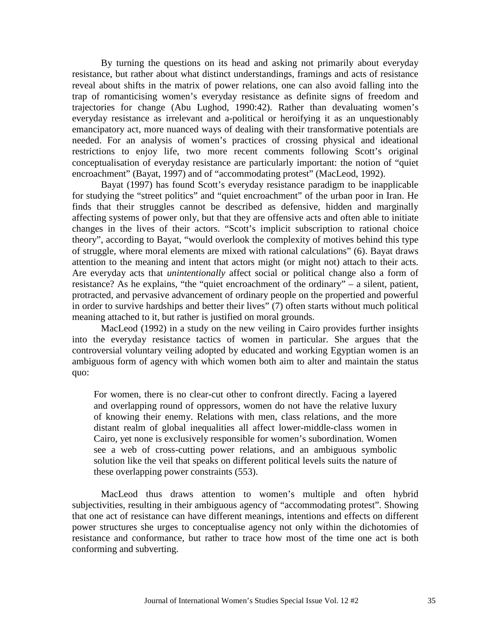By turning the questions on its head and asking not primarily about everyday resistance, but rather about what distinct understandings, framings and acts of resistance reveal about shifts in the matrix of power relations, one can also avoid falling into the trap of romanticising women's everyday resistance as definite signs of freedom and trajectories for change (Abu Lughod, 1990:42). Rather than devaluating women's everyday resistance as irrelevant and a-political or heroifying it as an unquestionably emancipatory act, more nuanced ways of dealing with their transformative potentials are needed. For an analysis of women's practices of crossing physical and ideational restrictions to enjoy life, two more recent comments following Scott's original conceptualisation of everyday resistance are particularly important: the notion of "quiet encroachment" (Bayat, 1997) and of "accommodating protest" (MacLeod, 1992).

Bayat (1997) has found Scott's everyday resistance paradigm to be inapplicable for studying the "street politics" and "quiet encroachment" of the urban poor in Iran. He finds that their struggles cannot be described as defensive, hidden and marginally affecting systems of power only, but that they are offensive acts and often able to initiate changes in the lives of their actors. "Scott's implicit subscription to rational choice theory", according to Bayat, "would overlook the complexity of motives behind this type of struggle, where moral elements are mixed with rational calculations" (6). Bayat draws attention to the meaning and intent that actors might (or might not) attach to their acts. Are everyday acts that *unintentionally* affect social or political change also a form of resistance? As he explains, "the "quiet encroachment of the ordinary" – a silent, patient, protracted, and pervasive advancement of ordinary people on the propertied and powerful in order to survive hardships and better their lives" (7) often starts without much political meaning attached to it, but rather is justified on moral grounds.

MacLeod (1992) in a study on the new veiling in Cairo provides further insights into the everyday resistance tactics of women in particular. She argues that the controversial voluntary veiling adopted by educated and working Egyptian women is an ambiguous form of agency with which women both aim to alter and maintain the status quo:

For women, there is no clear-cut other to confront directly. Facing a layered and overlapping round of oppressors, women do not have the relative luxury of knowing their enemy. Relations with men, class relations, and the more distant realm of global inequalities all affect lower-middle-class women in Cairo, yet none is exclusively responsible for women's subordination. Women see a web of cross-cutting power relations, and an ambiguous symbolic solution like the veil that speaks on different political levels suits the nature of these overlapping power constraints (553).

MacLeod thus draws attention to women's multiple and often hybrid subjectivities, resulting in their ambiguous agency of "accommodating protest". Showing that one act of resistance can have different meanings, intentions and effects on different power structures she urges to conceptualise agency not only within the dichotomies of resistance and conformance, but rather to trace how most of the time one act is both conforming and subverting.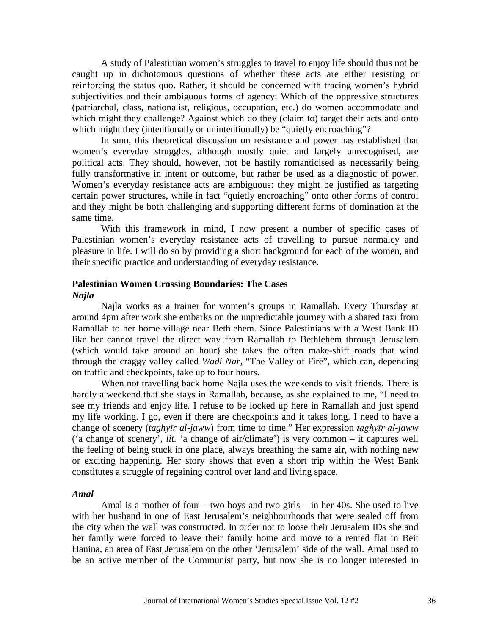A study of Palestinian women's struggles to travel to enjoy life should thus not be caught up in dichotomous questions of whether these acts are either resisting or reinforcing the status quo. Rather, it should be concerned with tracing women's hybrid subjectivities and their ambiguous forms of agency: Which of the oppressive structures (patriarchal, class, nationalist, religious, occupation, etc.) do women accommodate and which might they challenge? Against which do they (claim to) target their acts and onto which might they (intentionally or unintentionally) be "quietly encroaching"?

In sum, this theoretical discussion on resistance and power has established that women's everyday struggles, although mostly quiet and largely unrecognised, are political acts. They should, however, not be hastily romanticised as necessarily being fully transformative in intent or outcome, but rather be used as a diagnostic of power. Women's everyday resistance acts are ambiguous: they might be justified as targeting certain power structures, while in fact "quietly encroaching" onto other forms of control and they might be both challenging and supporting different forms of domination at the same time.

With this framework in mind, I now present a number of specific cases of Palestinian women's everyday resistance acts of travelling to pursue normalcy and pleasure in life. I will do so by providing a short background for each of the women, and their specific practice and understanding of everyday resistance.

#### **Palestinian Women Crossing Boundaries: The Cases**

*Najla*

Najla works as a trainer for women's groups in Ramallah. Every Thursday at around 4pm after work she embarks on the unpredictable journey with a shared taxi from Ramallah to her home village near Bethlehem. Since Palestinians with a West Bank ID like her cannot travel the direct way from Ramallah to Bethlehem through Jerusalem (which would take around an hour) she takes the often make-shift roads that wind through the craggy valley called *Wadi Nar*, "The Valley of Fire", which can, depending on traffic and checkpoints, take up to four hours.

When not travelling back home Najla uses the weekends to visit friends. There is hardly a weekend that she stays in Ramallah, because, as she explained to me, "I need to see my friends and enjoy life. I refuse to be locked up here in Ramallah and just spend my life working. I go, even if there are checkpoints and it takes long. I need to have a change of scenery (*taghyīr al-jaww*) from time to time." Her expression *taghyīr al-jaww* ('a change of scenery', *lit.* 'a change of air/climate') is very common – it captures well the feeling of being stuck in one place, always breathing the same air, with nothing new or exciting happening. Her story shows that even a short trip within the West Bank constitutes a struggle of regaining control over land and living space.

#### *Amal*

Amal is a mother of four – two boys and two girls – in her 40s. She used to live with her husband in one of East Jerusalem's neighbourhoods that were sealed off from the city when the wall was constructed. In order not to loose their Jerusalem IDs she and her family were forced to leave their family home and move to a rented flat in Beit Hanina, an area of East Jerusalem on the other 'Jerusalem' side of the wall. Amal used to be an active member of the Communist party, but now she is no longer interested in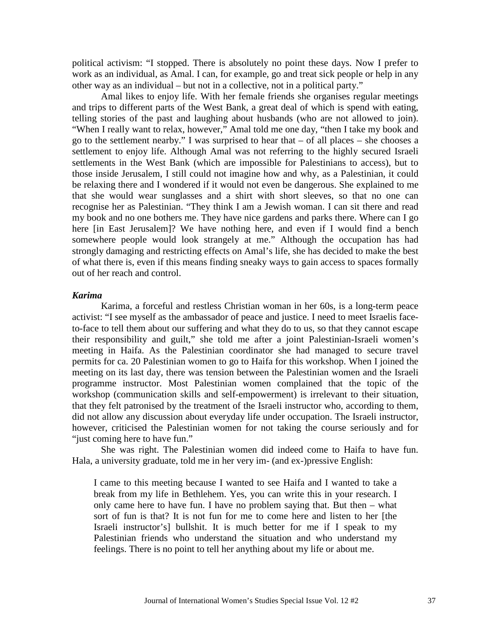political activism: "I stopped. There is absolutely no point these days. Now I prefer to work as an individual, as Amal. I can, for example, go and treat sick people or help in any other way as an individual – but not in a collective, not in a political party."

Amal likes to enjoy life. With her female friends she organises regular meetings and trips to different parts of the West Bank, a great deal of which is spend with eating, telling stories of the past and laughing about husbands (who are not allowed to join). "When I really want to relax, however," Amal told me one day, "then I take my book and go to the settlement nearby." I was surprised to hear that – of all places – she chooses a settlement to enjoy life. Although Amal was not referring to the highly secured Israeli settlements in the West Bank (which are impossible for Palestinians to access), but to those inside Jerusalem, I still could not imagine how and why, as a Palestinian, it could be relaxing there and I wondered if it would not even be dangerous. She explained to me that she would wear sunglasses and a shirt with short sleeves, so that no one can recognise her as Palestinian. "They think I am a Jewish woman. I can sit there and read my book and no one bothers me. They have nice gardens and parks there. Where can I go here [in East Jerusalem]? We have nothing here, and even if I would find a bench somewhere people would look strangely at me." Although the occupation has had strongly damaging and restricting effects on Amal's life, she has decided to make the best of what there is, even if this means finding sneaky ways to gain access to spaces formally out of her reach and control.

# *Karima*

Karima, a forceful and restless Christian woman in her 60s, is a long-term peace activist: "I see myself as the ambassador of peace and justice. I need to meet Israelis faceto-face to tell them about our suffering and what they do to us, so that they cannot escape their responsibility and guilt," she told me after a joint Palestinian-Israeli women's meeting in Haifa. As the Palestinian coordinator she had managed to secure travel permits for ca. 20 Palestinian women to go to Haifa for this workshop. When I joined the meeting on its last day, there was tension between the Palestinian women and the Israeli programme instructor. Most Palestinian women complained that the topic of the workshop (communication skills and self-empowerment) is irrelevant to their situation, that they felt patronised by the treatment of the Israeli instructor who, according to them, did not allow any discussion about everyday life under occupation. The Israeli instructor, however, criticised the Palestinian women for not taking the course seriously and for "just coming here to have fun."

She was right. The Palestinian women did indeed come to Haifa to have fun. Hala, a university graduate, told me in her very im- (and ex-)pressive English:

I came to this meeting because I wanted to see Haifa and I wanted to take a break from my life in Bethlehem. Yes, you can write this in your research. I only came here to have fun. I have no problem saying that. But then – what sort of fun is that? It is not fun for me to come here and listen to her [the Israeli instructor's] bullshit. It is much better for me if I speak to my Palestinian friends who understand the situation and who understand my feelings. There is no point to tell her anything about my life or about me.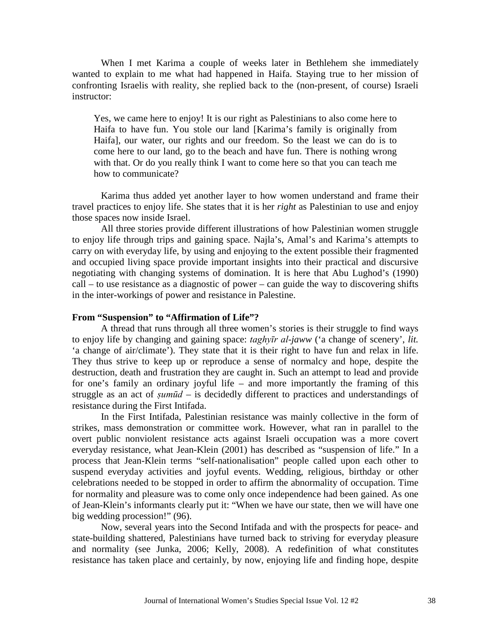When I met Karima a couple of weeks later in Bethlehem she immediately wanted to explain to me what had happened in Haifa. Staying true to her mission of confronting Israelis with reality, she replied back to the (non-present, of course) Israeli instructor:

Yes, we came here to enjoy! It is our right as Palestinians to also come here to Haifa to have fun. You stole our land [Karima's family is originally from Haifa], our water, our rights and our freedom. So the least we can do is to come here to our land, go to the beach and have fun. There is nothing wrong with that. Or do you really think I want to come here so that you can teach me how to communicate?

Karima thus added yet another layer to how women understand and frame their travel practices to enjoy life. She states that it is her *right* as Palestinian to use and enjoy those spaces now inside Israel.

All three stories provide different illustrations of how Palestinian women struggle to enjoy life through trips and gaining space. Najla's, Amal's and Karima's attempts to carry on with everyday life, by using and enjoying to the extent possible their fragmented and occupied living space provide important insights into their practical and discursive negotiating with changing systems of domination. It is here that Abu Lughod's (1990) call – to use resistance as a diagnostic of power – can guide the way to discovering shifts in the inter-workings of power and resistance in Palestine.

# **From "Suspension" to "Affirmation of Life"?**

A thread that runs through all three women's stories is their struggle to find ways to enjoy life by changing and gaining space: *taghyīr al-jaww* ('a change of scenery', *lit.* 'a change of air/climate'). They state that it is their right to have fun and relax in life. They thus strive to keep up or reproduce a sense of normalcy and hope, despite the destruction, death and frustration they are caught in. Such an attempt to lead and provide for one's family an ordinary joyful life – and more importantly the framing of this struggle as an act of *ṣumūd* – is decidedly different to practices and understandings of resistance during the First Intifada.

In the First Intifada, Palestinian resistance was mainly collective in the form of strikes, mass demonstration or committee work. However, what ran in parallel to the overt public nonviolent resistance acts against Israeli occupation was a more covert everyday resistance, what Jean-Klein (2001) has described as "suspension of life." In a process that Jean-Klein terms "self-nationalisation" people called upon each other to suspend everyday activities and joyful events. Wedding, religious, birthday or other celebrations needed to be stopped in order to affirm the abnormality of occupation. Time for normality and pleasure was to come only once independence had been gained. As one of Jean-Klein's informants clearly put it: "When we have our state, then we will have one big wedding procession!" (96).

Now, several years into the Second Intifada and with the prospects for peace- and state-building shattered, Palestinians have turned back to striving for everyday pleasure and normality (see Junka, 2006; Kelly, 2008). A redefinition of what constitutes resistance has taken place and certainly, by now, enjoying life and finding hope, despite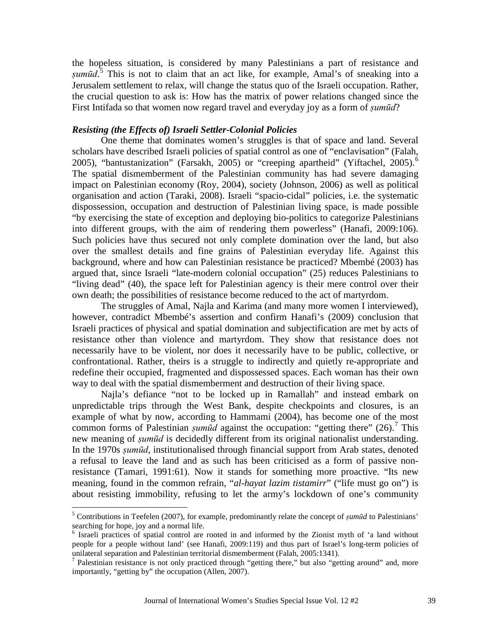the hopeless situation, is considered by many Palestinians a part of resistance and *ṣumūd*. [5](#page-2-2) This is not to claim that an act like, for example, Amal's of sneaking into a Jerusalem settlement to relax, will change the status quo of the Israeli occupation. Rather, the crucial question to ask is: How has the matrix of power relations changed since the First Intifada so that women now regard travel and everyday joy as a form of *ṣumūd*?

# *Resisting (the Effects of) Israeli Settler-Colonial Policies*

One theme that dominates women's struggles is that of space and land. Several scholars have described Israeli policies of spatial control as one of "enclavisation" (Falah, 2005), "bantustanization" (Farsakh, 2005) or "creeping apartheid" (Yiftachel, 2005).<sup>[6](#page-8-0)</sup> The spatial dismemberment of the Palestinian community has had severe damaging impact on Palestinian economy (Roy, 2004), society (Johnson, 2006) as well as political organisation and action (Taraki, 2008). Israeli "spacio-cidal" policies, i.e. the systematic dispossession, occupation and destruction of Palestinian living space, is made possible "by exercising the state of exception and deploying bio-politics to categorize Palestinians into different groups, with the aim of rendering them powerless" (Hanafi, 2009:106). Such policies have thus secured not only complete domination over the land, but also over the smallest details and fine grains of Palestinian everyday life. Against this background, where and how can Palestinian resistance be practiced? Mbembé (2003) has argued that, since Israeli "late-modern colonial occupation" (25) reduces Palestinians to "living dead" (40), the space left for Palestinian agency is their mere control over their own death; the possibilities of resistance become reduced to the act of martyrdom.

The struggles of Amal, Najla and Karima (and many more women I interviewed), however, contradict Mbembé's assertion and confirm Hanafi's (2009) conclusion that Israeli practices of physical and spatial domination and subjectification are met by acts of resistance other than violence and martyrdom. They show that resistance does not necessarily have to be violent, nor does it necessarily have to be public, collective, or confrontational. Rather, theirs is a struggle to indirectly and quietly re-appropriate and redefine their occupied, fragmented and dispossessed spaces. Each woman has their own way to deal with the spatial dismemberment and destruction of their living space.

Najla's defiance "not to be locked up in Ramallah" and instead embark on unpredictable trips through the West Bank, despite checkpoints and closures, is an example of what by now, according to Hammami (2004), has become one of the most common forms of Palestinian *şumūd* against the occupation: "getting there" (26).<sup>[7](#page-8-1)</sup> This new meaning of *ṣumūd* is decidedly different from its original nationalist understanding. In the 1970s *ṣumūd*, institutionalised through financial support from Arab states, denoted a refusal to leave the land and as such has been criticised as a form of passive nonresistance (Tamari, 1991:61). Now it stands for something more proactive. "Its new meaning, found in the common refrain, "*al-hayat lazim tistamirr*" ("life must go on") is about resisting immobility, refusing to let the army's lockdown of one's community

 <sup>5</sup> Contributions in Teefelen (2007), for example, predominantly relate the concept of *ṣumū<sup>d</sup>* to Palestinians' searching for hope, joy and a normal life.

<span id="page-8-0"></span><sup>&</sup>lt;sup>6</sup> Israeli practices of spatial control are rooted in and informed by the Zionist myth of 'a land without people for a people without land' (see Hanafi, 2009:119) and thus part of Israel's long-term policies of unilateral separation and Palestinian territorial dismemberment (Falah, 2005:1341).

<span id="page-8-1"></span><sup>&</sup>lt;sup>7</sup> Palestinian resistance is not only practiced through "getting there," but also "getting around" and, more importantly, "getting by" the occupation (Allen, 2007).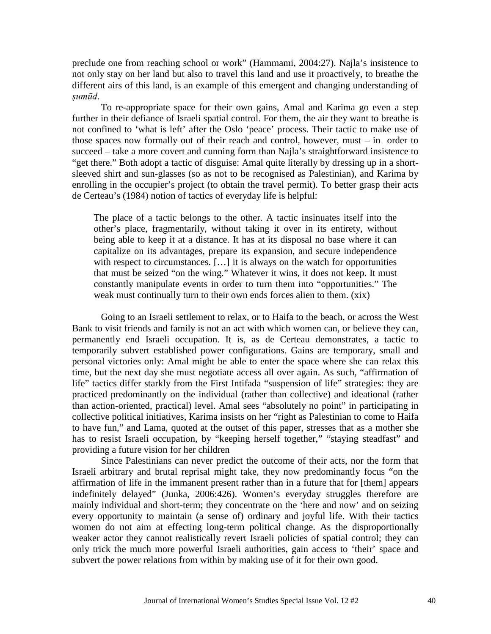preclude one from reaching school or work" (Hammami, 2004:27). Najla's insistence to not only stay on her land but also to travel this land and use it proactively, to breathe the different airs of this land, is an example of this emergent and changing understanding of *ṣumūd*.

To re-appropriate space for their own gains, Amal and Karima go even a step further in their defiance of Israeli spatial control. For them, the air they want to breathe is not confined to 'what is left' after the Oslo 'peace' process. Their tactic to make use of those spaces now formally out of their reach and control, however, must – in order to succeed – take a more covert and cunning form than Najla's straightforward insistence to "get there." Both adopt a tactic of disguise: Amal quite literally by dressing up in a shortsleeved shirt and sun-glasses (so as not to be recognised as Palestinian), and Karima by enrolling in the occupier's project (to obtain the travel permit). To better grasp their acts de Certeau's (1984) notion of tactics of everyday life is helpful:

The place of a tactic belongs to the other. A tactic insinuates itself into the other's place, fragmentarily, without taking it over in its entirety, without being able to keep it at a distance. It has at its disposal no base where it can capitalize on its advantages, prepare its expansion, and secure independence with respect to circumstances. [...] it is always on the watch for opportunities that must be seized "on the wing." Whatever it wins, it does not keep. It must constantly manipulate events in order to turn them into "opportunities." The weak must continually turn to their own ends forces alien to them. (xix)

Going to an Israeli settlement to relax, or to Haifa to the beach, or across the West Bank to visit friends and family is not an act with which women can, or believe they can, permanently end Israeli occupation. It is, as de Certeau demonstrates, a tactic to temporarily subvert established power configurations. Gains are temporary, small and personal victories only: Amal might be able to enter the space where she can relax this time, but the next day she must negotiate access all over again. As such, "affirmation of life" tactics differ starkly from the First Intifada "suspension of life" strategies: they are practiced predominantly on the individual (rather than collective) and ideational (rather than action-oriented, practical) level. Amal sees "absolutely no point" in participating in collective political initiatives, Karima insists on her "right as Palestinian to come to Haifa to have fun," and Lama, quoted at the outset of this paper, stresses that as a mother she has to resist Israeli occupation, by "keeping herself together," "staying steadfast" and providing a future vision for her children

Since Palestinians can never predict the outcome of their acts, nor the form that Israeli arbitrary and brutal reprisal might take, they now predominantly focus "on the affirmation of life in the immanent present rather than in a future that for [them] appears indefinitely delayed" (Junka, 2006:426). Women's everyday struggles therefore are mainly individual and short-term; they concentrate on the 'here and now' and on seizing every opportunity to maintain (a sense of) ordinary and joyful life. With their tactics women do not aim at effecting long-term political change. As the disproportionally weaker actor they cannot realistically revert Israeli policies of spatial control; they can only trick the much more powerful Israeli authorities, gain access to 'their' space and subvert the power relations from within by making use of it for their own good.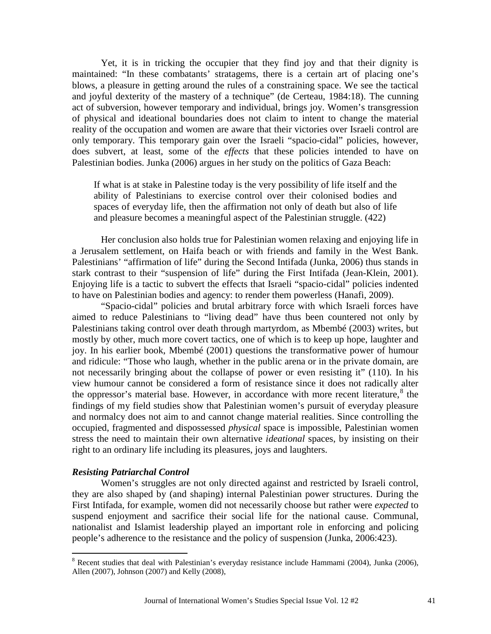Yet, it is in tricking the occupier that they find joy and that their dignity is maintained: "In these combatants' stratagems, there is a certain art of placing one's blows, a pleasure in getting around the rules of a constraining space. We see the tactical and joyful dexterity of the mastery of a technique" (de Certeau, 1984:18). The cunning act of subversion, however temporary and individual, brings joy. Women's transgression of physical and ideational boundaries does not claim to intent to change the material reality of the occupation and women are aware that their victories over Israeli control are only temporary. This temporary gain over the Israeli "spacio-cidal" policies, however, does subvert, at least, some of the *effects* that these policies intended to have on Palestinian bodies. Junka (2006) argues in her study on the politics of Gaza Beach:

If what is at stake in Palestine today is the very possibility of life itself and the ability of Palestinians to exercise control over their colonised bodies and spaces of everyday life, then the affirmation not only of death but also of life and pleasure becomes a meaningful aspect of the Palestinian struggle. (422)

Her conclusion also holds true for Palestinian women relaxing and enjoying life in a Jerusalem settlement, on Haifa beach or with friends and family in the West Bank. Palestinians' "affirmation of life" during the Second Intifada (Junka, 2006) thus stands in stark contrast to their "suspension of life" during the First Intifada (Jean-Klein, 2001). Enjoying life is a tactic to subvert the effects that Israeli "spacio-cidal" policies indented to have on Palestinian bodies and agency: to render them powerless (Hanafi, 2009).

"Spacio-cidal" policies and brutal arbitrary force with which Israeli forces have aimed to reduce Palestinians to "living dead" have thus been countered not only by Palestinians taking control over death through martyrdom, as Mbembé (2003) writes, but mostly by other, much more covert tactics, one of which is to keep up hope, laughter and joy. In his earlier book, Mbembé (2001) questions the transformative power of humour and ridicule: "Those who laugh, whether in the public arena or in the private domain, are not necessarily bringing about the collapse of power or even resisting it" (110). In his view humour cannot be considered a form of resistance since it does not radically alter the oppressor's material base. However, in accordance with more recent literature,<sup>[8](#page-8-1)</sup> the findings of my field studies show that Palestinian women's pursuit of everyday pleasure and normalcy does not aim to and cannot change material realities. Since controlling the occupied, fragmented and dispossessed *physical* space is impossible, Palestinian women stress the need to maintain their own alternative *ideational* spaces, by insisting on their right to an ordinary life including its pleasures, joys and laughters.

## *Resisting Patriarchal Control*

Women's struggles are not only directed against and restricted by Israeli control, they are also shaped by (and shaping) internal Palestinian power structures. During the First Intifada, for example, women did not necessarily choose but rather were *expected* to suspend enjoyment and sacrifice their social life for the national cause. Communal, nationalist and Islamist leadership played an important role in enforcing and policing people's adherence to the resistance and the policy of suspension (Junka, 2006:423).

<span id="page-10-0"></span> <sup>8</sup> Recent studies that deal with Palestinian's everyday resistance include Hammami (2004), Junka (2006), Allen (2007), Johnson (2007) and Kelly (2008),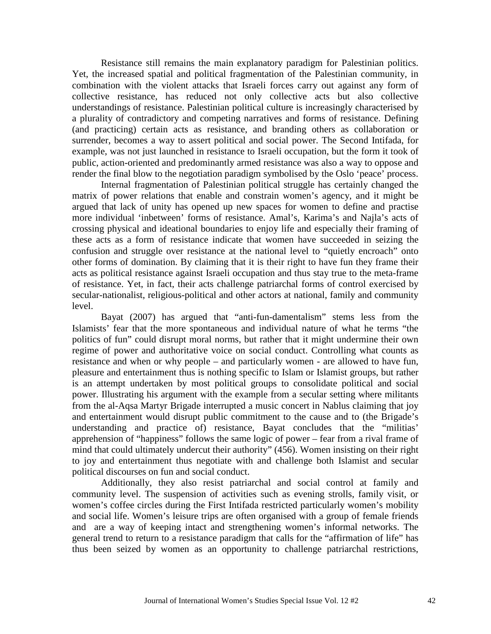Resistance still remains the main explanatory paradigm for Palestinian politics. Yet, the increased spatial and political fragmentation of the Palestinian community, in combination with the violent attacks that Israeli forces carry out against any form of collective resistance, has reduced not only collective acts but also collective understandings of resistance. Palestinian political culture is increasingly characterised by a plurality of contradictory and competing narratives and forms of resistance. Defining (and practicing) certain acts as resistance, and branding others as collaboration or surrender, becomes a way to assert political and social power. The Second Intifada, for example, was not just launched in resistance to Israeli occupation, but the form it took of public, action-oriented and predominantly armed resistance was also a way to oppose and render the final blow to the negotiation paradigm symbolised by the Oslo 'peace' process.

Internal fragmentation of Palestinian political struggle has certainly changed the matrix of power relations that enable and constrain women's agency, and it might be argued that lack of unity has opened up new spaces for women to define and practise more individual 'inbetween' forms of resistance. Amal's, Karima's and Najla's acts of crossing physical and ideational boundaries to enjoy life and especially their framing of these acts as a form of resistance indicate that women have succeeded in seizing the confusion and struggle over resistance at the national level to "quietly encroach" onto other forms of domination. By claiming that it is their right to have fun they frame their acts as political resistance against Israeli occupation and thus stay true to the meta-frame of resistance. Yet, in fact, their acts challenge patriarchal forms of control exercised by secular-nationalist, religious-political and other actors at national, family and community level.

Bayat (2007) has argued that "anti-fun-damentalism" stems less from the Islamists' fear that the more spontaneous and individual nature of what he terms "the politics of fun" could disrupt moral norms, but rather that it might undermine their own regime of power and authoritative voice on social conduct. Controlling what counts as resistance and when or why people – and particularly women - are allowed to have fun, pleasure and entertainment thus is nothing specific to Islam or Islamist groups, but rather is an attempt undertaken by most political groups to consolidate political and social power. Illustrating his argument with the example from a secular setting where militants from the al-Aqsa Martyr Brigade interrupted a music concert in Nablus claiming that joy and entertainment would disrupt public commitment to the cause and to (the Brigade's understanding and practice of) resistance, Bayat concludes that the "militias' apprehension of "happiness" follows the same logic of power – fear from a rival frame of mind that could ultimately undercut their authority" (456). Women insisting on their right to joy and entertainment thus negotiate with and challenge both Islamist and secular political discourses on fun and social conduct.

Additionally, they also resist patriarchal and social control at family and community level. The suspension of activities such as evening strolls, family visit, or women's coffee circles during the First Intifada restricted particularly women's mobility and social life. Women's leisure trips are often organised with a group of female friends and are a way of keeping intact and strengthening women's informal networks. The general trend to return to a resistance paradigm that calls for the "affirmation of life" has thus been seized by women as an opportunity to challenge patriarchal restrictions,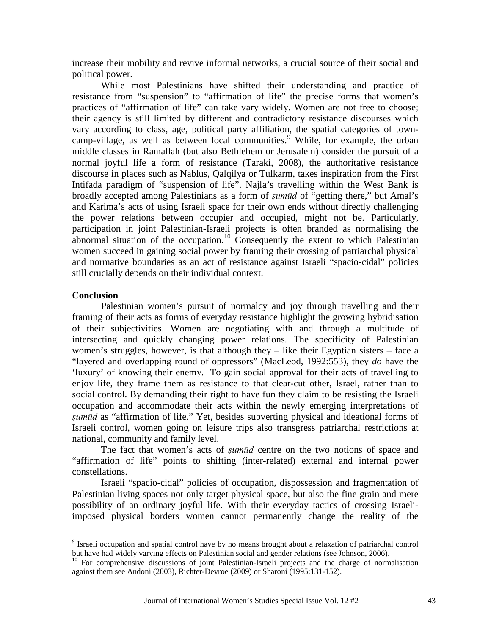increase their mobility and revive informal networks, a crucial source of their social and political power.

While most Palestinians have shifted their understanding and practice of resistance from "suspension" to "affirmation of life" the precise forms that women's practices of "affirmation of life" can take vary widely. Women are not free to choose; their agency is still limited by different and contradictory resistance discourses which vary according to class, age, political party affiliation, the spatial categories of towncamp-village, as well as between local communities. [9](#page-10-0) While, for example, the urban middle classes in Ramallah (but also Bethlehem or Jerusalem) consider the pursuit of a normal joyful life a form of resistance (Taraki, 2008), the authoritative resistance discourse in places such as Nablus, Qalqilya or Tulkarm, takes inspiration from the First Intifada paradigm of "suspension of life". Najla's travelling within the West Bank is broadly accepted among Palestinians as a form of *ṣumūd* of "getting there," but Amal's and Karima's acts of using Israeli space for their own ends without directly challenging the power relations between occupier and occupied, might not be. Particularly, participation in joint Palestinian-Israeli projects is often branded as normalising the abnormal situation of the occupation.<sup>[10](#page-12-0)</sup> Consequently the extent to which Palestinian women succeed in gaining social power by framing their crossing of patriarchal physical and normative boundaries as an act of resistance against Israeli "spacio-cidal" policies still crucially depends on their individual context.

# **Conclusion**

Palestinian women's pursuit of normalcy and joy through travelling and their framing of their acts as forms of everyday resistance highlight the growing hybridisation of their subjectivities. Women are negotiating with and through a multitude of intersecting and quickly changing power relations. The specificity of Palestinian women's struggles, however, is that although they – like their Egyptian sisters – face a "layered and overlapping round of oppressors" (MacLeod, 1992:553), they *do* have the 'luxury' of knowing their enemy. To gain social approval for their acts of travelling to enjoy life, they frame them as resistance to that clear-cut other, Israel, rather than to social control. By demanding their right to have fun they claim to be resisting the Israeli occupation and accommodate their acts within the newly emerging interpretations of *ṣumūd* as "affirmation of life." Yet, besides subverting physical and ideational forms of Israeli control, women going on leisure trips also transgress patriarchal restrictions at national, community and family level.

The fact that women's acts of *ṣumūd* centre on the two notions of space and "affirmation of life" points to shifting (inter-related) external and internal power constellations.

Israeli "spacio-cidal" policies of occupation, dispossession and fragmentation of Palestinian living spaces not only target physical space, but also the fine grain and mere possibility of an ordinary joyful life. With their everyday tactics of crossing Israeliimposed physical borders women cannot permanently change the reality of the

<sup>&</sup>lt;sup>9</sup> Israeli occupation and spatial control have by no means brought about a relaxation of patriarchal control but have had widely varying effects on Palestinian social and gender relations (see Johnson, 2006).

<span id="page-12-0"></span><sup>&</sup>lt;sup>10</sup> For comprehensive discussions of joint Palestinian-Israeli projects and the charge of normalisation against them see Andoni (2003), Richter-Devroe (2009) or Sharoni (1995:131-152).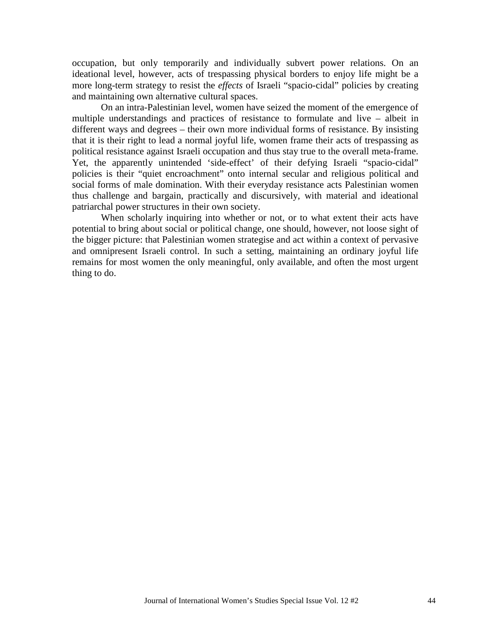occupation, but only temporarily and individually subvert power relations. On an ideational level, however, acts of trespassing physical borders to enjoy life might be a more long-term strategy to resist the *effects* of Israeli "spacio-cidal" policies by creating and maintaining own alternative cultural spaces.

On an intra-Palestinian level, women have seized the moment of the emergence of multiple understandings and practices of resistance to formulate and live – albeit in different ways and degrees – their own more individual forms of resistance. By insisting that it is their right to lead a normal joyful life, women frame their acts of trespassing as political resistance against Israeli occupation and thus stay true to the overall meta-frame. Yet, the apparently unintended 'side-effect' of their defying Israeli "spacio-cidal" policies is their "quiet encroachment" onto internal secular and religious political and social forms of male domination. With their everyday resistance acts Palestinian women thus challenge and bargain, practically and discursively, with material and ideational patriarchal power structures in their own society.

When scholarly inquiring into whether or not, or to what extent their acts have potential to bring about social or political change, one should, however, not loose sight of the bigger picture: that Palestinian women strategise and act within a context of pervasive and omnipresent Israeli control. In such a setting, maintaining an ordinary joyful life remains for most women the only meaningful, only available, and often the most urgent thing to do.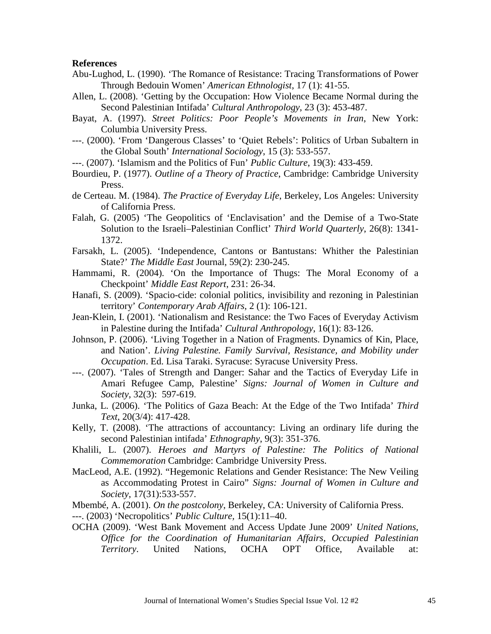#### **References**

- Abu-Lughod, L. (1990). 'The Romance of Resistance: Tracing Transformations of Power Through Bedouin Women' *American Ethnologist*, 17 (1): 41-55.
- Allen, L. (2008). 'Getting by the Occupation: How Violence Became Normal during the Second Palestinian Intifada' *Cultural Anthropology*, 23 (3): 453-487.
- Bayat, A. (1997). *Street Politics: Poor People's Movements in Iran*, New York: Columbia University Press.
- ---. (2000). 'From 'Dangerous Classes' to 'Quiet Rebels': Politics of Urban Subaltern in the Global South' *International Sociology*, 15 (3): 533-557.
- ---. (2007). 'Islamism and the Politics of Fun' *Public Culture*, 19(3): 433-459.
- Bourdieu, P. (1977). *Outline of a Theory of Practice*, Cambridge: Cambridge University Press.
- de Certeau. M. (1984). *The Practice of Everyday Life*, Berkeley, Los Angeles: University of California Press.
- Falah, G. (2005) 'The Geopolitics of 'Enclavisation' and the Demise of a Two-State Solution to the Israeli–Palestinian Conflict' *Third World Quarterly*, 26(8): 1341- 1372.
- Farsakh, L. (2005). 'Independence, Cantons or Bantustans: Whither the Palestinian State?' *The Middle East* Journal, 59(2): 230-245.
- Hammami, R. (2004). 'On the Importance of Thugs: The Moral Economy of a Checkpoint' *Middle East Report*, 231: 26-34.
- Hanafi, S. (2009). 'Spacio-cide: colonial politics, invisibility and rezoning in Palestinian territory' *Contemporary Arab Affairs*, 2 (1): 106-121.
- Jean-Klein, I. (2001). 'Nationalism and Resistance: the Two Faces of Everyday Activism in Palestine during the Intifada' *Cultural Anthropology*, 16(1): 83-126.
- Johnson, P. (2006). 'Living Together in a Nation of Fragments. Dynamics of Kin, Place, and Nation'. *Living Palestine. Family Survival, Resistance, and Mobility under Occupation*. Ed. Lisa Taraki. Syracuse: Syracuse University Press.
- ---. (2007). 'Tales of Strength and Danger: Sahar and the Tactics of Everyday Life in Amari Refugee Camp, Palestine' *Signs: Journal of Women in Culture and Society*, 32(3): 597-619.
- Junka, L. (2006). 'The Politics of Gaza Beach: At the Edge of the Two Intifada' *Third Text*, 20(3/4): 417-428.
- Kelly, T. (2008). 'The attractions of accountancy: Living an ordinary life during the second Palestinian intifada' *Ethnography*, 9(3): 351-376.
- Khalili, L. (2007). *Heroes and Martyrs of Palestine: The Politics of National Commemoration* Cambridge: Cambridge University Press.
- MacLeod, A.E. (1992). "Hegemonic Relations and Gender Resistance: The New Veiling as Accommodating Protest in Cairo" *Signs: Journal of Women in Culture and Society*, 17(31):533-557.
- Mbembé, A. (2001). *On the postcolony*, Berkeley, CA: University of California Press.
- ---. (2003) 'Necropolitics' *Public Culture,* 15(1):11–40.
- OCHA (2009). 'West Bank Movement and Access Update June 2009' *United Nations, Office for the Coordination of Humanitarian Affairs, Occupied Palestinian Territory*. United Nations, OCHA OPT Office, Available at: